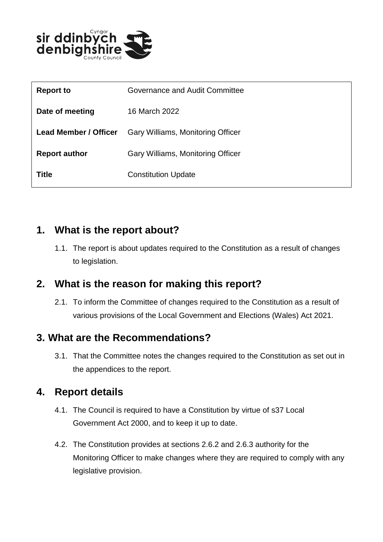

| <b>Report to</b>             | Governance and Audit Committee    |
|------------------------------|-----------------------------------|
| Date of meeting              | 16 March 2022                     |
| <b>Lead Member / Officer</b> | Gary Williams, Monitoring Officer |
| <b>Report author</b>         | Gary Williams, Monitoring Officer |
| <b>Title</b>                 | <b>Constitution Update</b>        |

#### **1. What is the report about?**

1.1. The report is about updates required to the Constitution as a result of changes to legislation.

# **2. What is the reason for making this report?**

2.1. To inform the Committee of changes required to the Constitution as a result of various provisions of the Local Government and Elections (Wales) Act 2021.

# **3. What are the Recommendations?**

3.1. That the Committee notes the changes required to the Constitution as set out in the appendices to the report.

# **4. Report details**

- 4.1. The Council is required to have a Constitution by virtue of s37 Local Government Act 2000, and to keep it up to date.
- 4.2. The Constitution provides at sections 2.6.2 and 2.6.3 authority for the Monitoring Officer to make changes where they are required to comply with any legislative provision.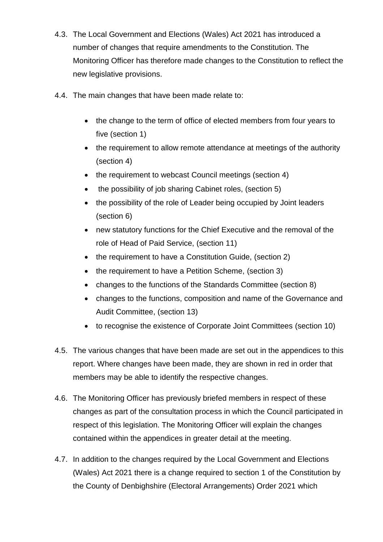- 4.3. The Local Government and Elections (Wales) Act 2021 has introduced a number of changes that require amendments to the Constitution. The Monitoring Officer has therefore made changes to the Constitution to reflect the new legislative provisions.
- 4.4. The main changes that have been made relate to:
	- the change to the term of office of elected members from four years to five (section 1)
	- the requirement to allow remote attendance at meetings of the authority (section 4)
	- the requirement to webcast Council meetings (section 4)
	- the possibility of job sharing Cabinet roles, (section 5)
	- the possibility of the role of Leader being occupied by Joint leaders (section 6)
	- new statutory functions for the Chief Executive and the removal of the role of Head of Paid Service, (section 11)
	- the requirement to have a Constitution Guide, (section 2)
	- the requirement to have a Petition Scheme, (section 3)
	- changes to the functions of the Standards Committee (section 8)
	- changes to the functions, composition and name of the Governance and Audit Committee, (section 13)
	- to recognise the existence of Corporate Joint Committees (section 10)
- 4.5. The various changes that have been made are set out in the appendices to this report. Where changes have been made, they are shown in red in order that members may be able to identify the respective changes.
- 4.6. The Monitoring Officer has previously briefed members in respect of these changes as part of the consultation process in which the Council participated in respect of this legislation. The Monitoring Officer will explain the changes contained within the appendices in greater detail at the meeting.
- 4.7. In addition to the changes required by the Local Government and Elections (Wales) Act 2021 there is a change required to section 1 of the Constitution by the County of Denbighshire (Electoral Arrangements) Order 2021 which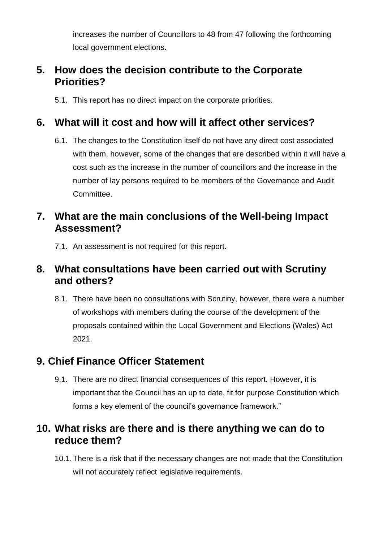increases the number of Councillors to 48 from 47 following the forthcoming local government elections.

#### **5. How does the decision contribute to the Corporate Priorities?**

5.1. This report has no direct impact on the corporate priorities.

# **6. What will it cost and how will it affect other services?**

6.1. The changes to the Constitution itself do not have any direct cost associated with them, however, some of the changes that are described within it will have a cost such as the increase in the number of councillors and the increase in the number of lay persons required to be members of the Governance and Audit Committee.

## **7. What are the main conclusions of the Well-being Impact Assessment?**

7.1. An assessment is not required for this report.

## **8. What consultations have been carried out with Scrutiny and others?**

8.1. There have been no consultations with Scrutiny, however, there were a number of workshops with members during the course of the development of the proposals contained within the Local Government and Elections (Wales) Act 2021.

# **9. Chief Finance Officer Statement**

9.1. There are no direct financial consequences of this report. However, it is important that the Council has an up to date, fit for purpose Constitution which forms a key element of the council's governance framework."

#### **10. What risks are there and is there anything we can do to reduce them?**

10.1.There is a risk that if the necessary changes are not made that the Constitution will not accurately reflect legislative requirements.